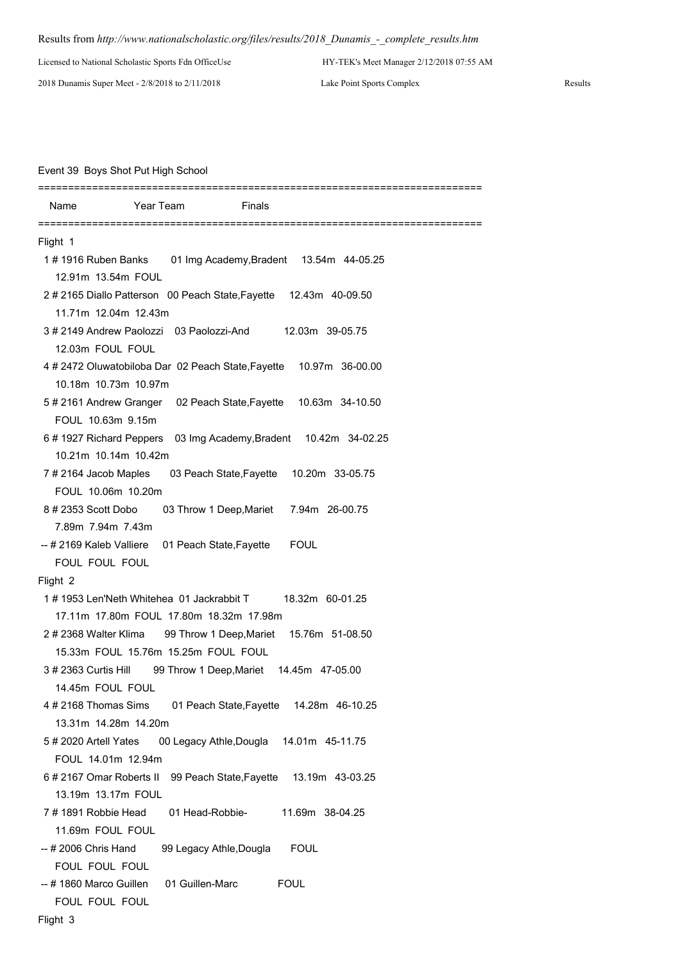## Results from *http://www.nationalscholastic.org/files/results/2018\_Dunamis\_-\_complete\_results.htm*

Licensed to National Scholastic Sports Fdn OfficeUse HY-TEK's Meet Manager 2/12/2018 07:55 AM

2018 Dunamis Super Meet - 2/8/2018 to 2/11/2018 Lake Point Sports Complex Results

## Event 39 Boys Shot Put High School

| Name                     | Year Team<br>Finals                                                 |
|--------------------------|---------------------------------------------------------------------|
| Flight 1                 |                                                                     |
| 1#1916 Ruben Banks       | 01 Img Academy, Bradent 13.54m 44-05.25                             |
| 12.91m 13.54m FOUL       |                                                                     |
|                          |                                                                     |
|                          | 2#2165 Diallo Patterson 00 Peach State, Fayette 12.43m 40-09.50     |
| 11.71m 12.04m 12.43m     |                                                                     |
|                          | 3#2149 Andrew Paolozzi 03 Paolozzi-And<br>12.03m 39-05.75           |
| 12.03m FOUL FOUL         |                                                                     |
|                          | 4#2472 Oluwatobiloba Dar 02 Peach State, Fayette<br>10.97m 36-00.00 |
| 10.18m 10.73m 10.97m     |                                                                     |
|                          | 5#2161 Andrew Granger 02 Peach State, Fayette 10.63m 34-10.50       |
| FOUL 10.63m 9.15m        |                                                                     |
|                          | 6#1927 Richard Peppers 03 Img Academy, Bradent 10.42m 34-02.25      |
| 10.21m 10.14m 10.42m     |                                                                     |
| 7#2164 Jacob Maples      | 03 Peach State, Fayette 10.20m 33-05.75                             |
| FOUL 10.06m 10.20m       |                                                                     |
| 8#2353 Scott Dobo        | 03 Throw 1 Deep, Mariet 7.94m 26-00.75                              |
| 7.89m 7.94m 7.43m        |                                                                     |
| -- # 2169 Kaleb Valliere | 01 Peach State,Fayette<br><b>FOUL</b>                               |
| FOUL FOUL FOUL           |                                                                     |
| Flight 2                 |                                                                     |
|                          | 1#1953 Len'Neth Whitehea 01 Jackrabbit T<br>18.32m 60-01.25         |
|                          | 17.11m 17.80m FOUL 17.80m 18.32m 17.98m                             |
| 2#2368 Walter Klima      | 99 Throw 1 Deep, Mariet 15.76m 51-08.50                             |
|                          | 15.33m FOUL 15.76m 15.25m FOUL FOUL                                 |
|                          | 3# 2363 Curtis Hill 99 Throw 1 Deep, Mariet 14.45m 47-05.00         |
| 14.45m FOUL FOUL         |                                                                     |
| 4#2168 Thomas Sims       | 01 Peach State, Fayette 14.28m 46-10.25                             |
| 13.31m 14.28m 14.20m     |                                                                     |
| 5#2020 Artell Yates      | 00 Legacy Athle, Dougla<br>14.01m 45-11.75                          |
| FOUL 14.01m 12.94m       |                                                                     |
| 6#2167 Omar Roberts II   | 99 Peach State, Fayette<br>13.19m 43-03.25                          |
| 13.19m 13.17m FOUL       |                                                                     |
| 7#1891 Robbie Head       | 11.69m 38-04.25<br>01 Head-Robbie-                                  |
| 11.69m FOUL FOUL         |                                                                     |
| -- # 2006 Chris Hand     | 99 Legacy Athle, Dougla<br><b>FOUL</b>                              |
| FOUL FOUL FOUL           |                                                                     |
| -- # 1860 Marco Guillen  | 01 Guillen-Marc<br><b>FOUL</b>                                      |
| FOUL FOUL FOUL           |                                                                     |
|                          |                                                                     |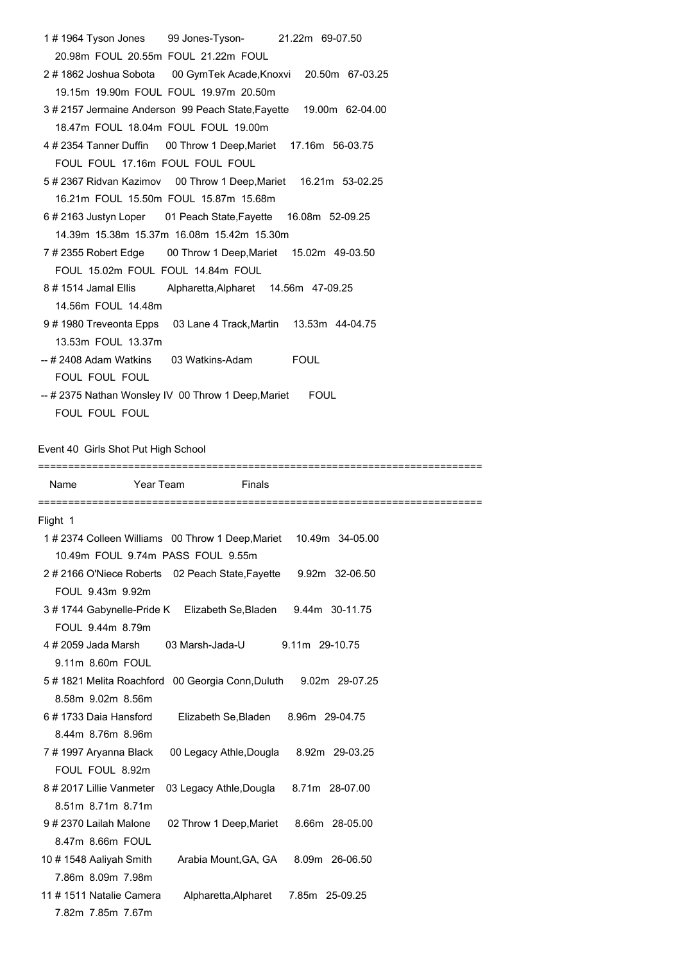| 20.98m FOUL 20.55m FOUL 21.22m FOUL<br>2#1862 Joshua Sobota 00 GymTek Acade, Knoxvi 20.50m 67-03.25<br>19.15m 19.90m FOUL FOUL 19.97m 20.50m<br>18.47m FOUL 18.04m FOUL FOUL 19.00m<br>4# 2354 Tanner Duffin  00 Throw 1 Deep, Mariet  17.16m  56-03.75<br>FOUL FOUL 17.16m FOUL FOUL FOUL<br>5# 2367 Ridvan Kazimov 00 Throw 1 Deep, Mariet 16.21m 53-02.25<br>16.21m FOUL 15.50m FOUL 15.87m 15.68m<br>6#2163 Justyn Loper 01 Peach State, Fayette 16.08m 52-09.25<br>14.39m 15.38m 15.37m 16.08m 15.42m 15.30m<br>7# 2355 Robert Edge 00 Throw 1 Deep, Mariet 15.02m 49-03.50<br>FOUL 15.02m FOUL FOUL 14.84m FOUL<br>8#1514 Jamal Ellis Alpharetta, Alpharet 14.56 m47-09.25<br>14.56m FOUL 14.48m<br>9#1980 Treveonta Epps 03 Lane 4 Track, Martin 13.53m 44-04.75<br>13.53m FOUL 13.37m<br>FOUL FOUL FOUL<br>-- # 2375 Nathan Wonsley IV 00 Throw 1 Deep, Mariet FOUL | 1#1964 Tyson Jones 99 Jones-Tyson- 21.22m 69-07.50               |  |  |  |  |  |
|-----------------------------------------------------------------------------------------------------------------------------------------------------------------------------------------------------------------------------------------------------------------------------------------------------------------------------------------------------------------------------------------------------------------------------------------------------------------------------------------------------------------------------------------------------------------------------------------------------------------------------------------------------------------------------------------------------------------------------------------------------------------------------------------------------------------------------------------------------------------------------|------------------------------------------------------------------|--|--|--|--|--|
|                                                                                                                                                                                                                                                                                                                                                                                                                                                                                                                                                                                                                                                                                                                                                                                                                                                                             |                                                                  |  |  |  |  |  |
|                                                                                                                                                                                                                                                                                                                                                                                                                                                                                                                                                                                                                                                                                                                                                                                                                                                                             |                                                                  |  |  |  |  |  |
|                                                                                                                                                                                                                                                                                                                                                                                                                                                                                                                                                                                                                                                                                                                                                                                                                                                                             |                                                                  |  |  |  |  |  |
|                                                                                                                                                                                                                                                                                                                                                                                                                                                                                                                                                                                                                                                                                                                                                                                                                                                                             | 3#2157 Jermaine Anderson 99 Peach State, Fayette 19.00m 62-04.00 |  |  |  |  |  |
|                                                                                                                                                                                                                                                                                                                                                                                                                                                                                                                                                                                                                                                                                                                                                                                                                                                                             |                                                                  |  |  |  |  |  |
|                                                                                                                                                                                                                                                                                                                                                                                                                                                                                                                                                                                                                                                                                                                                                                                                                                                                             |                                                                  |  |  |  |  |  |
|                                                                                                                                                                                                                                                                                                                                                                                                                                                                                                                                                                                                                                                                                                                                                                                                                                                                             |                                                                  |  |  |  |  |  |
|                                                                                                                                                                                                                                                                                                                                                                                                                                                                                                                                                                                                                                                                                                                                                                                                                                                                             |                                                                  |  |  |  |  |  |
|                                                                                                                                                                                                                                                                                                                                                                                                                                                                                                                                                                                                                                                                                                                                                                                                                                                                             |                                                                  |  |  |  |  |  |
|                                                                                                                                                                                                                                                                                                                                                                                                                                                                                                                                                                                                                                                                                                                                                                                                                                                                             |                                                                  |  |  |  |  |  |
|                                                                                                                                                                                                                                                                                                                                                                                                                                                                                                                                                                                                                                                                                                                                                                                                                                                                             |                                                                  |  |  |  |  |  |
|                                                                                                                                                                                                                                                                                                                                                                                                                                                                                                                                                                                                                                                                                                                                                                                                                                                                             |                                                                  |  |  |  |  |  |
|                                                                                                                                                                                                                                                                                                                                                                                                                                                                                                                                                                                                                                                                                                                                                                                                                                                                             |                                                                  |  |  |  |  |  |
|                                                                                                                                                                                                                                                                                                                                                                                                                                                                                                                                                                                                                                                                                                                                                                                                                                                                             |                                                                  |  |  |  |  |  |
|                                                                                                                                                                                                                                                                                                                                                                                                                                                                                                                                                                                                                                                                                                                                                                                                                                                                             |                                                                  |  |  |  |  |  |
|                                                                                                                                                                                                                                                                                                                                                                                                                                                                                                                                                                                                                                                                                                                                                                                                                                                                             |                                                                  |  |  |  |  |  |
|                                                                                                                                                                                                                                                                                                                                                                                                                                                                                                                                                                                                                                                                                                                                                                                                                                                                             |                                                                  |  |  |  |  |  |
|                                                                                                                                                                                                                                                                                                                                                                                                                                                                                                                                                                                                                                                                                                                                                                                                                                                                             |                                                                  |  |  |  |  |  |
|                                                                                                                                                                                                                                                                                                                                                                                                                                                                                                                                                                                                                                                                                                                                                                                                                                                                             |                                                                  |  |  |  |  |  |
|                                                                                                                                                                                                                                                                                                                                                                                                                                                                                                                                                                                                                                                                                                                                                                                                                                                                             |                                                                  |  |  |  |  |  |

FOUL FOUL FOUL

## Event 40 Girls Shot Put High School

==========================================================================

| Name                   | Year Team                                                      | Finals                                 |                 |  |
|------------------------|----------------------------------------------------------------|----------------------------------------|-----------------|--|
| Flight 1               |                                                                |                                        |                 |  |
|                        | 1#2374 Colleen Williams 00 Throw 1 Deep, Mariet                |                                        | 10.49m 34-05.00 |  |
|                        | 10.49m FOUL 9.74m PASS FOUL 9.55m                              |                                        |                 |  |
|                        | 2#2166 O'Niece Roberts 02 Peach State, Fayette                 |                                        | 9.92m 32-06.50  |  |
| FOUL 9.43m 9.92m       |                                                                |                                        |                 |  |
|                        | 3#1744 Gabynelle-Pride K Elizabeth Se, Bladen 9.44m 30-11.75   |                                        |                 |  |
| FOUL 9.44m 8.79m       |                                                                |                                        |                 |  |
| 4#2059 Jada Marsh      | 03 Marsh-Jada-U                                                |                                        | 9.11m 29-10.75  |  |
| 9.11m 8.60m FOUL       |                                                                |                                        |                 |  |
|                        | 5#1821 Melita Roachford 00 Georgia Conn, Duluth 9.02m 29-07.25 |                                        |                 |  |
| 8.58m 9.02m 8.56m      |                                                                |                                        |                 |  |
| 6#1733 Daia Hansford   |                                                                | Elizabeth Se, Bladen                   | 8.96m 29-04.75  |  |
| 8.44m 8.76m 8.96m      |                                                                |                                        |                 |  |
| 7#1997 Aryanna Black   |                                                                | 00 Legacy Athle, Dougla 8.92m 29-03.25 |                 |  |
| FOUL FOUL 8.92m        |                                                                |                                        |                 |  |
| 8#2017 Lillie Vanmeter |                                                                | 03 Legacy Athle, Dougla                | 8.71m 28-07.00  |  |
| 8.51m 8.71m 8.71m      |                                                                |                                        |                 |  |
| 9#2370 Lailah Malone   |                                                                | 02 Throw 1 Deep, Mariet                | 8.66m 28-05.00  |  |
| 8.47m 8.66m FOUL       |                                                                |                                        |                 |  |
| 10#1548 Aaliyah Smith  |                                                                | Arabia Mount, GA, GA                   | 8.09m 26-06.50  |  |
| 7.86m 8.09m 7.98m      |                                                                |                                        |                 |  |
| 11#1511 Natalie Camera |                                                                | Alpharetta, Alpharet                   | 7.85m 25-09.25  |  |
| 7.82m 7.85m 7.67m      |                                                                |                                        |                 |  |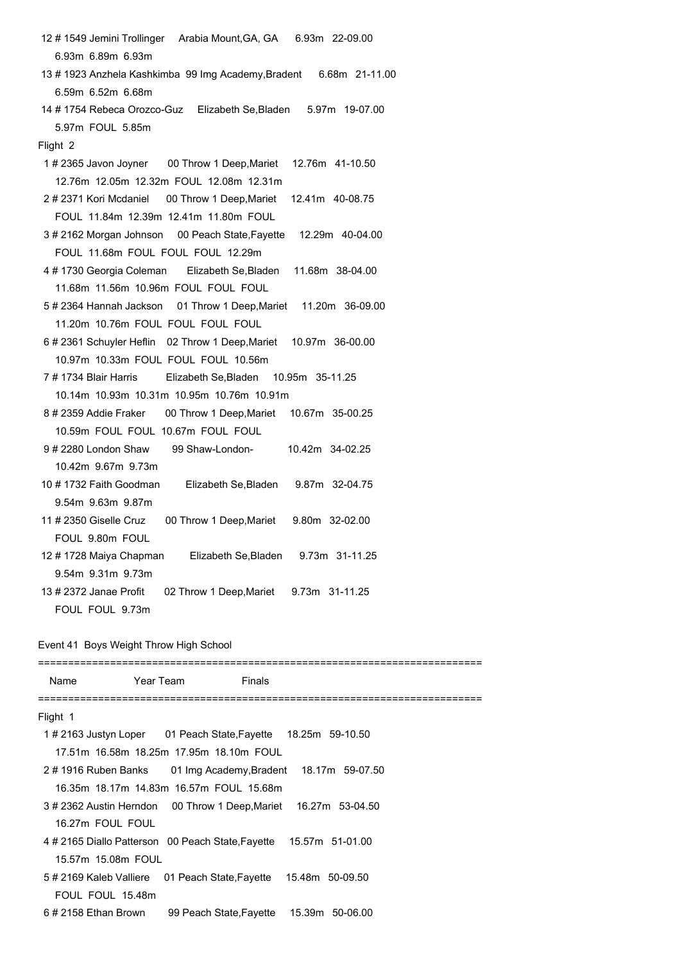12 # 1549 Jemini Trollinger Arabia Mount,GA, GA 6.93m 22-09.00 6.93m 6.89m 6.93m 13 # 1923 Anzhela Kashkimba 99 Img Academy,Bradent 6.68m 21-11.00 6.59m 6.52m 6.68m 14 # 1754 Rebeca Orozco-Guz Elizabeth Se,Bladen 5.97m 19-07.00 5.97m FOUL 5.85m Flight 2 1 # 2365 Javon Joyner 00 Throw 1 Deep,Mariet 12.76m 41-10.50 12.76m 12.05m 12.32m FOUL 12.08m 12.31m 2 # 2371 Kori Mcdaniel 00 Throw 1 Deep,Mariet 12.41m 40-08.75 FOUL 11.84m 12.39m 12.41m 11.80m FOUL 3 # 2162 Morgan Johnson 00 Peach State,Fayette 12.29m 40-04.00 FOUL 11.68m FOUL FOUL FOUL 12.29m 4 # 1730 Georgia Coleman Elizabeth Se,Bladen 11.68m 38-04.00 11.68m 11.56m 10.96m FOUL FOUL FOUL 5 # 2364 Hannah Jackson 01 Throw 1 Deep,Mariet 11.20m 36-09.00 11.20m 10.76m FOUL FOUL FOUL FOUL 6 # 2361 Schuyler Heflin 02 Throw 1 Deep,Mariet 10.97m 36-00.00 10.97m 10.33m FOUL FOUL FOUL 10.56m 7 # 1734 Blair Harris Elizabeth Se,Bladen 10.95m 35-11.25 10.14m 10.93m 10.31m 10.95m 10.76m 10.91m 8 # 2359 Addie Fraker 00 Throw 1 Deep,Mariet 10.67m 35-00.25 10.59m FOUL FOUL 10.67m FOUL FOUL 9 # 2280 London Shaw 99 Shaw-London- 10.42m 34-02.25 10.42m 9.67m 9.73m 10 # 1732 Faith Goodman Elizabeth Se,Bladen 9.87m 32-04.75 9.54m 9.63m 9.87m 11 # 2350 Giselle Cruz 00 Throw 1 Deep,Mariet 9.80m 32-02.00 FOUL 9.80m FOUL 12 # 1728 Maiya Chapman Elizabeth Se,Bladen 9.73m 31-11.25 9.54m 9.31m 9.73m 13 # 2372 Janae Profit 02 Throw 1 Deep,Mariet 9.73m 31-11.25

FOUL FOUL 9.73m

## Event 41 Boys Weight Throw High School

| Name                 | Year Team <b>comment</b>                                         | Finals                                  |  |
|----------------------|------------------------------------------------------------------|-----------------------------------------|--|
|                      |                                                                  |                                         |  |
| Flight 1             |                                                                  |                                         |  |
|                      | 1#2163 Justyn Loper 01 Peach State, Fayette 18.25m 59-10.50      |                                         |  |
|                      | 17.51m 16.58m 18.25m 17.95m 18.10m FOUL                          |                                         |  |
|                      | 2#1916 Ruben Banks 01 Img Academy, Bradent 18.17m 59-07.50       |                                         |  |
|                      | 16.35m 18.17m 14.83m 16.57m FOUL 15.68m                          |                                         |  |
|                      | 3#2362 Austin Herndon  00 Throw 1 Deep, Mariet  16.27m  53-04.50 |                                         |  |
| 16.27m FOUL FOUL     |                                                                  |                                         |  |
|                      | 4#2165 Diallo Patterson 00 Peach State, Fayette 15.57m 51-01.00  |                                         |  |
| 15.57m 15.08m FOUL   |                                                                  |                                         |  |
|                      | 5# 2169 Kaleb Valliere 01 Peach State, Fayette 15.48m 50-09.50   |                                         |  |
| FOUL FOUL 15.48m     |                                                                  |                                         |  |
| 6 # 2158 Ethan Brown |                                                                  | 99 Peach State, Fayette 15.39m 50-06.00 |  |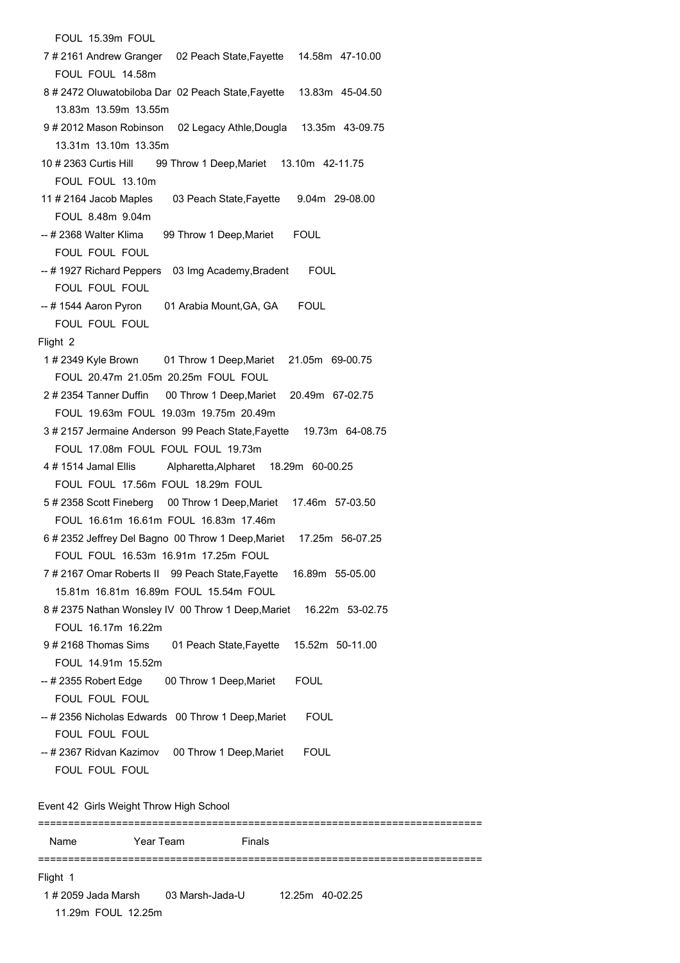FOUL 15.39m FOUL 7 # 2161 Andrew Granger 02 Peach State,Fayette 14.58m 47-10.00 FOUL FOUL 14.58m 8 # 2472 Oluwatobiloba Dar 02 Peach State,Fayette 13.83m 45-04.50 13.83m 13.59m 13.55m 9 # 2012 Mason Robinson 02 Legacy Athle,Dougla 13.35m 43-09.75 13.31m 13.10m 13.35m 10 # 2363 Curtis Hill 99 Throw 1 Deep,Mariet 13.10m 42-11.75 FOUL FOUL 13.10m 11 # 2164 Jacob Maples 03 Peach State,Fayette 9.04m 29-08.00 FOUL 8.48m 9.04m -- # 2368 Walter Klima 99 Throw 1 Deep, Mariet FOUL FOUL FOUL FOUL -- # 1927 Richard Peppers 03 Img Academy, Bradent FOUL FOUL FOUL FOUL -- # 1544 Aaron Pyron 01 Arabia Mount, GA, GA FOUL FOUL FOUL FOUL Flight 2 1 # 2349 Kyle Brown 01 Throw 1 Deep,Mariet 21.05m 69-00.75 FOUL 20.47m 21.05m 20.25m FOUL FOUL 2 # 2354 Tanner Duffin 00 Throw 1 Deep,Mariet 20.49m 67-02.75 FOUL 19.63m FOUL 19.03m 19.75m 20.49m 3 # 2157 Jermaine Anderson 99 Peach State,Fayette 19.73m 64-08.75 FOUL 17.08m FOUL FOUL FOUL 19.73m 4 # 1514 Jamal Ellis Alpharetta,Alpharet 18.29m 60-00.25 FOUL FOUL 17.56m FOUL 18.29m FOUL 5 # 2358 Scott Fineberg 00 Throw 1 Deep,Mariet 17.46m 57-03.50 FOUL 16.61m 16.61m FOUL 16.83m 17.46m 6 # 2352 Jeffrey Del Bagno 00 Throw 1 Deep,Mariet 17.25m 56-07.25 FOUL FOUL 16.53m 16.91m 17.25m FOUL 7 # 2167 Omar Roberts II 99 Peach State,Fayette 16.89m 55-05.00 15.81m 16.81m 16.89m FOUL 15.54m FOUL 8 # 2375 Nathan Wonsley IV 00 Throw 1 Deep,Mariet 16.22m 53-02.75 FOUL 16.17m 16.22m 9 # 2168 Thomas Sims 01 Peach State,Fayette 15.52m 50-11.00 FOUL 14.91m 15.52m -- # 2355 Robert Edge 00 Throw 1 Deep,Mariet FOUL FOUL FOUL FOUL -- # 2356 Nicholas Edwards 00 Throw 1 Deep,Mariet FOUL FOUL FOUL FOUL -- # 2367 Ridvan Kazimov 00 Throw 1 Deep, Mariet FOUL FOUL FOUL FOUL Event 42 Girls Weight Throw High School ========================================================================== Name Year Team Finals ========================================================================== Flight 1 1 # 2059 Jada Marsh 03 Marsh-Jada-U 12.25m 40-02.25 11.29m FOUL 12.25m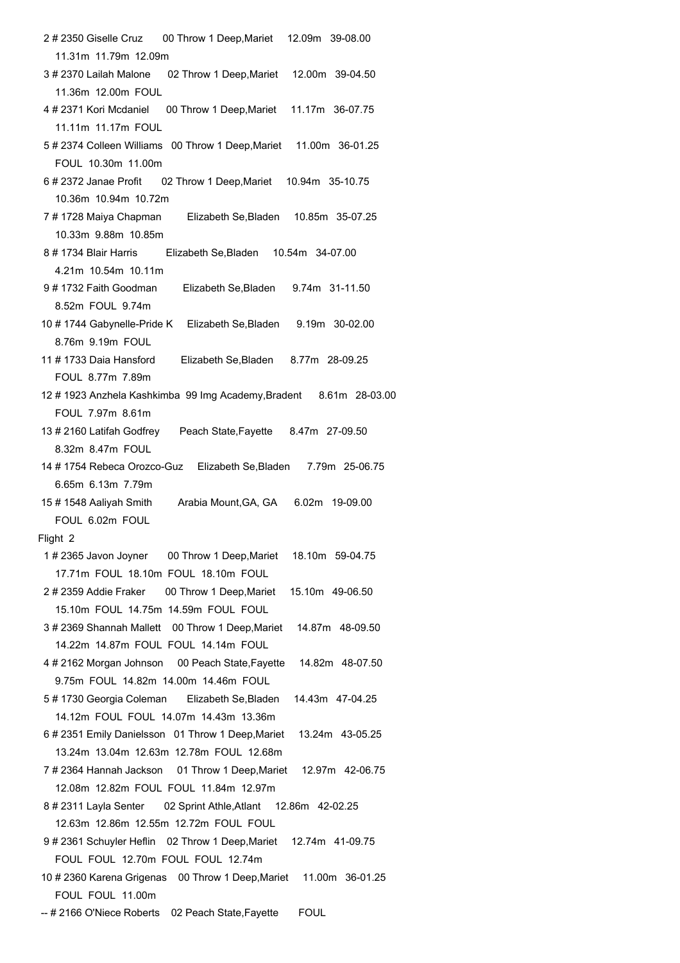| 2#2350 Giselle Cruz<br>00 Throw 1 Deep, Mariet<br>12.09m 39-08.00    |  |  |  |
|----------------------------------------------------------------------|--|--|--|
| 11.31m 11.79m 12.09m                                                 |  |  |  |
| 3# 2370 Lailah Malone 02 Throw 1 Deep, Mariet 12.00m 39-04.50        |  |  |  |
| 11.36m 12.00m FOUL                                                   |  |  |  |
| 4 # 2371 Kori Mcdaniel 00 Throw 1 Deep, Mariet 11.17m 36-07.75       |  |  |  |
| 11.11m 11.17m FOUL                                                   |  |  |  |
| 5# 2374 Colleen Williams 00 Throw 1 Deep, Mariet<br>11.00m 36-01.25  |  |  |  |
| FOUL 10.30m 11.00m                                                   |  |  |  |
| 6#2372 Janae Profit 02 Throw 1 Deep, Mariet<br>10.94m 35-10.75       |  |  |  |
| 10.36m 10.94m 10.72m                                                 |  |  |  |
| 7#1728 Maiya Chapman Elizabeth Se, Bladen 10.85m 35-07.25            |  |  |  |
| 10.33m 9.88m 10.85m                                                  |  |  |  |
|                                                                      |  |  |  |
| Elizabeth Se, Bladen 10.54m 34-07.00                                 |  |  |  |
| 4.21m 10.54m 10.11m                                                  |  |  |  |
| 9#1732 Faith Goodman<br>Elizabeth Se, Bladen 9.74m 31-11.50          |  |  |  |
| 8.52m FOUL 9.74m                                                     |  |  |  |
| 10 # 1744 Gabynelle-Pride K Elizabeth Se, Bladen<br>9.19m 30-02.00   |  |  |  |
| 8.76m 9.19m FOUL                                                     |  |  |  |
| 11 # 1733 Daia Hansford<br>Elizabeth Se, Bladen 8.77m 28-09.25       |  |  |  |
| FOUL 8.77m 7.89m                                                     |  |  |  |
| 12#1923 Anzhela Kashkimba 99 Img Academy, Bradent 8.61m 28-03.00     |  |  |  |
| FOUL 7.97m 8.61m                                                     |  |  |  |
| 13 # 2160 Latifah Godfrey Peach State, Fayette 8.47m 27-09.50        |  |  |  |
| 8.32m 8.47m FOUL                                                     |  |  |  |
| 14 # 1754 Rebeca Orozco-Guz Elizabeth Se, Bladen 7.79m 25-06.75      |  |  |  |
| 6.65m 6.13m 7.79m                                                    |  |  |  |
| 15#1548 Aaliyah Smith Arabia Mount, GA, GA<br>6.02m 19-09.00         |  |  |  |
| FOUL 6.02m FOUL                                                      |  |  |  |
|                                                                      |  |  |  |
| Flight 2                                                             |  |  |  |
| 1#2365 Javon Joyner 00 Throw 1 Deep, Mariet<br>18.10m 59-04.75       |  |  |  |
| 17.71m FOUL 18.10m FOUL 18.10m FOUL                                  |  |  |  |
| 2#2359 Addie Fraker 00 Throw 1 Deep, Mariet<br>15.10m 49-06.50       |  |  |  |
| 15.10m FOUL 14.75m 14.59m FOUL FOUL                                  |  |  |  |
| 3# 2369 Shannah Mallett 00 Throw 1 Deep, Mariet<br>14.87m 48-09.50   |  |  |  |
| 14.22m 14.87m FOUL FOUL 14.14m FOUL                                  |  |  |  |
| 4#2162 Morgan Johnson 00 Peach State, Fayette<br>14.82m 48-07.50     |  |  |  |
| 9.75m FOUL 14.82m 14.00m 14.46m FOUL                                 |  |  |  |
| 5#1730 Georgia Coleman Elizabeth Se, Bladen<br>14.43m 47-04.25       |  |  |  |
| 14.12m FOUL FOUL 14.07m 14.43m 13.36m                                |  |  |  |
| 6#2351 Emily Danielsson 01 Throw 1 Deep, Mariet<br>13.24m 43-05.25   |  |  |  |
| 13.24m 13.04m 12.63m 12.78m FOUL 12.68m                              |  |  |  |
| 7#2364 Hannah Jackson 01 Throw 1 Deep, Mariet<br>12.97m 42-06.75     |  |  |  |
| 12.08m 12.82m FOUL FOUL 11.84m 12.97m                                |  |  |  |
| 8#2311 Layla Senter 02 Sprint Athle, Atlant 12.86m 42-02.25          |  |  |  |
| 12.63m 12.86m 12.55m 12.72m FOUL FOUL                                |  |  |  |
| 9#2361 Schuyler Heflin 02 Throw 1 Deep, Mariet 12.74m 41-09.75       |  |  |  |
|                                                                      |  |  |  |
| FOUL FOUL 12.70m FOUL FOUL 12.74m                                    |  |  |  |
| 10 # 2360 Karena Grigenas 00 Throw 1 Deep, Mariet<br>11.00m 36-01.25 |  |  |  |
| FOUL FOUL 11.00m                                                     |  |  |  |
| -- # 2166 O'Niece Roberts 02 Peach State, Fayette<br><b>FOUL</b>     |  |  |  |